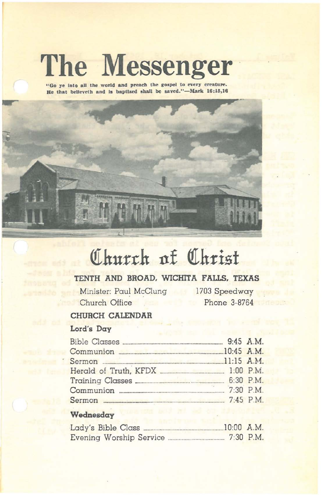# **The Messenger**

"Go ye into all the world and preach the gospel to every creature. He that **believeth** and is **baptized** shall be saved."-Mark 16:15,16



# <u>Church</u> of Christ</u>

# **TENTH AND BROAD. WICHITA FALLS. TEXAS**

Minister: Paul McClung 1703 Speedway Church Office Phone 3-8764

# **CHURCH CALENDAR**

# **Lord's Day**

| Communion 20145 A.M. |  |
|----------------------|--|
|                      |  |
|                      |  |
|                      |  |
|                      |  |
|                      |  |

## **Wednesday**

| Lady's Bible Class      |  | $10:00$ A.M. |
|-------------------------|--|--------------|
| Evening Worship Service |  | $7:30$ P.M.  |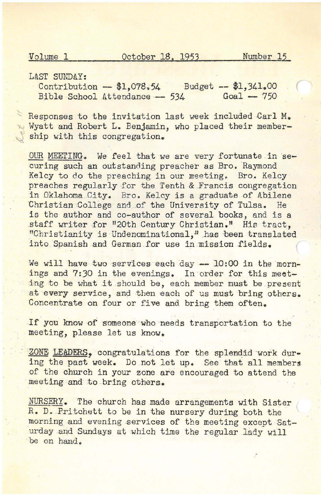LAST SUNDAY:

Contribution -- \$1,078.54 Budget -- \$1,341.00<br>Bible School Attendance -- 534 Goal -- 750 Bible School Attendance  $-$  534

Responses to the invitation last week included Carl M. Wyatt and Robert L, Benjamin, who placed their membership with this congregation.

OUR MEETING. We feel that we are very fortunate in  $se$ curing such an outstanding preacher as Bro. Raymond Kelcy to do the preaching in our meeting. Bro. Kelcy preaches regularly for the Tenth & Francis congregation in Oklahoma City, Bro. Kelcy is a graduate of Abilene Christian College and.of the University of Tulsa, He is the author and co-author of several books, and is a staff writer for "20th Century Christian." His tract, "Christianity is Undenominational," has been translated into Spanish and German for use in mission fields.

We will have two services each day -- 10:00 in the mornings and 7:30 in the evenings. In order for this meeting to be what it should be, each member must be present at every service, and then each of us must bring others. Concentrate on four or five and bring them often.

If you know of someone who needs transportation to the meeting, please let us know.

ZONE LEADERS, congratulations for the splendid work during the past week. Do not let up. See that all members of the church in your zone are encouraged to attend the meeting and to bring others.

NURSERY. The church has made arrangements with Sister R. D. Pritchett to be in the nursery during both the morning and evening services of the meeting except Saturday.and Sundays at which time the regular lady will be on hand.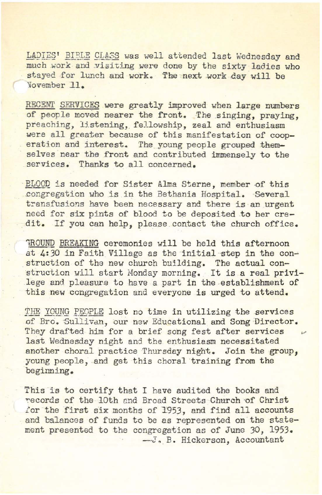LADIES' BIBLE CLASS was well attended last Wednesday and much work and visiting were done by the sixty ladies who staved for lunch and work. The next work day will be 'lovember J.l.

RECENT SERVICES were greatly improved when large numbers of people moved nearer the front. The singing, praying, preaching, listening, fellowship, zeal and enthusiasm were all greater because of this manifestation of cooperation and interest. The young people grouped themselves near the front and contributed immensely to the services. Thanks to all concerned.

BLOOD is needed for Sister Alma Sterne, member of this eongregation who is in the Bethania Hospital. Several transfusions have been necessary and there is an urgent need for six pints of blood to be deposited .to her credit. If you can help, please. contact the church office.

**ROUND BREAKING ceremonies will be held this afternoon** at 4:30 in Faith Village as the initial step in the construction of the new church building. The actual construction will start Monday morning. It is a real privilege and pleasure to have a part in the establishment of this new ccngregation and everyone is urged to attend.

THE YOUNG PEOPLE lost no time in utilizing the services of Bro. Sullivan, our new Educational and Song Director. They drafted him for a brief song fest after services last Wednesday night and the enthusiasm necessitated another choral practice Thursday night. Join the group. young people, and get this choral training from the beginning.

This is to certify that I have audited the books and records of the 10th and Broad Streets Church of Christ for the first six months of 1953, and find all accounts and balances of funds to be as represented on the statement presented to the congregation as of June 30, 1953. --J. B. Hickerson, Accountant